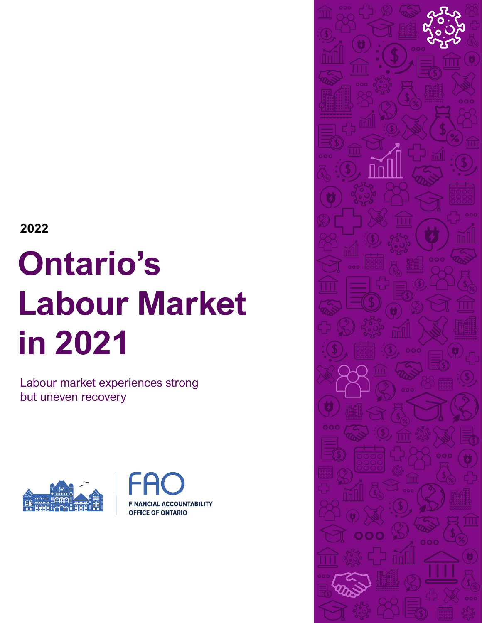**2022**

# **Ontario's Labour Market in 2021**

Labour market experiences strong but uneven recovery





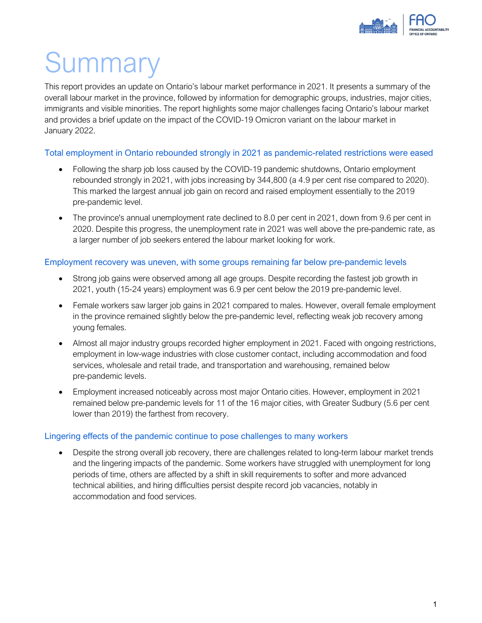

# Summary

This report provides an update on Ontario's labour market performance in 2021. It presents a summary of the overall labour market in the province, followed by information for demographic groups, industries, major cities, immigrants and visible minorities. The report highlights some major challenges facing Ontario's labour market and provides a brief update on the impact of the COVID-19 Omicron variant on the labour market in January 2022.

#### Total employment in Ontario rebounded strongly in 2021 as pandemic-related restrictions were eased

- Following the sharp job loss caused by the COVID-19 pandemic shutdowns, Ontario employment rebounded strongly in 2021, with jobs increasing by 344,800 (a 4.9 per cent rise compared to 2020). This marked the largest annual job gain on record and raised employment essentially to the 2019 pre-pandemic level.
- The province's annual unemployment rate declined to 8.0 per cent in 2021, down from 9.6 per cent in 2020. Despite this progress, the unemployment rate in 2021 was well above the pre-pandemic rate, as a larger number of job seekers entered the labour market looking for work.

#### Employment recovery was uneven, with some groups remaining far below pre-pandemic levels

- Strong job gains were observed among all age groups. Despite recording the fastest job growth in 2021, youth (15-24 years) employment was 6.9 per cent below the 2019 pre-pandemic level.
- Female workers saw larger job gains in 2021 compared to males. However, overall female employment in the province remained slightly below the pre-pandemic level, reflecting weak job recovery among young females.
- Almost all major industry groups recorded higher employment in 2021. Faced with ongoing restrictions, employment in low-wage industries with close customer contact, including accommodation and food services, wholesale and retail trade, and transportation and warehousing, remained below pre-pandemic levels.
- Employment increased noticeably across most major Ontario cities. However, employment in 2021 remained below pre-pandemic levels for 11 of the 16 major cities, with Greater Sudbury (5.6 per cent lower than 2019) the farthest from recovery.

#### Lingering effects of the pandemic continue to pose challenges to many workers

• Despite the strong overall job recovery, there are challenges related to long-term labour market trends and the lingering impacts of the pandemic. Some workers have struggled with unemployment for long periods of time, others are affected by a shift in skill requirements to softer and more advanced technical abilities, and hiring difficulties persist despite record job vacancies, notably in accommodation and food services.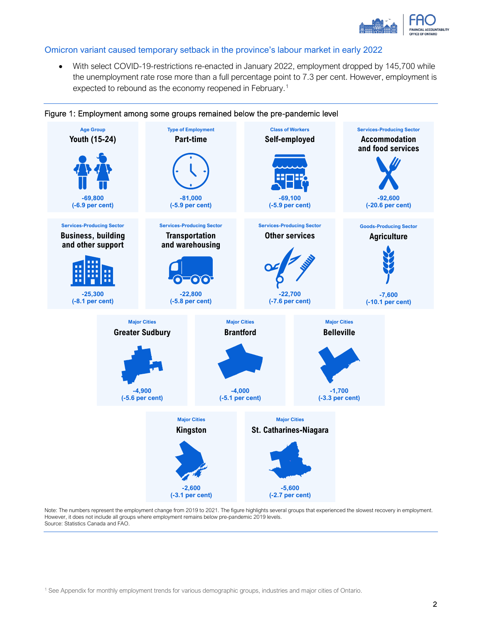

#### Omicron variant caused temporary setback in the province's labour market in early 2022

• With select COVID-19-restrictions re-enacted in January 2022, employment dropped by 145,700 while the unemployment rate rose more than a full percentage point to 7.3 per cent. However, employment is expected to rebound as the economy reopened in February.[1](#page-2-0)



Figure 1: Employment among some groups remained below the pre-pandemic level

<span id="page-2-0"></span>Note: The numbers represent the employment change from 2019 to 2021. The figure highlights several groups that experienced the slowest recovery in employment. However, it does not include all groups where employment remains below pre-pandemic 2019 levels. Source: Statistics Canada and FAO.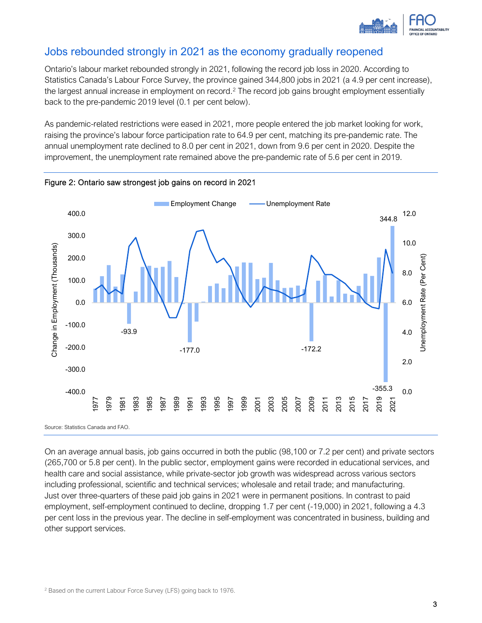

## Jobs rebounded strongly in 2021 as the economy gradually reopened

Ontario's labour market rebounded strongly in 2021, following the record job loss in 2020. According to Statistics Canada's Labour Force Survey, the province gained 344,800 jobs in 2021 (a 4.9 per cent increase), the largest annual increase in employment on record.<sup>[2](#page-3-0)</sup> The record job gains brought employment essentially back to the pre-pandemic 2019 level (0.1 per cent below).

As pandemic-related restrictions were eased in 2021, more people entered the job market looking for work, raising the province's labour force participation rate to 64.9 per cent, matching its pre-pandemic rate. The annual unemployment rate declined to 8.0 per cent in 2021, down from 9.6 per cent in 2020. Despite the improvement, the unemployment rate remained above the pre-pandemic rate of 5.6 per cent in 2019.



Figure 2: Ontario saw strongest job gains on record in 2021

<span id="page-3-0"></span>On an average annual basis, job gains occurred in both the public (98,100 or 7.2 per cent) and private sectors (265,700 or 5.8 per cent). In the public sector, employment gains were recorded in educational services, and health care and social assistance, while private-sector job growth was widespread across various sectors including professional, scientific and technical services; wholesale and retail trade; and manufacturing. Just over three-quarters of these paid job gains in 2021 were in permanent positions. In contrast to paid employment, self-employment continued to decline, dropping 1.7 per cent (-19,000) in 2021, following a 4.3 per cent loss in the previous year. The decline in self-employment was concentrated in business, building and other support services.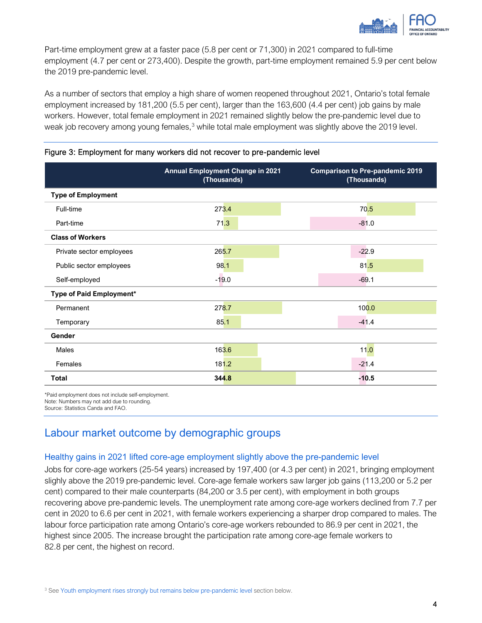

Part-time employment grew at a faster pace (5.8 per cent or 71,300) in 2021 compared to full-time employment (4.7 per cent or 273,400). Despite the growth, part-time employment remained 5.9 per cent below the 2019 pre-pandemic level.

As a number of sectors that employ a high share of women reopened throughout 2021, Ontario's total female employment increased by 181,200 (5.5 per cent), larger than the 163,600 (4.4 per cent) job gains by male workers. However, total female employment in 2021 remained slightly below the pre-pandemic level due to weak job recovery among young females,<sup>[3](#page-4-0)</sup> while total male employment was slightly above the 2019 level.

|                           | <b>Annual Employment Change in 2021</b><br>(Thousands) | <b>Comparison to Pre-pandemic 2019</b><br>(Thousands) |
|---------------------------|--------------------------------------------------------|-------------------------------------------------------|
| <b>Type of Employment</b> |                                                        |                                                       |
| Full-time                 | 273.4                                                  | 70.5                                                  |
| Part-time                 | 71.3                                                   | $-81.0$                                               |
| <b>Class of Workers</b>   |                                                        |                                                       |
| Private sector employees  | 265.7                                                  | $-22.9$                                               |
| Public sector employees   | 98.1                                                   | 81.5                                                  |
| Self-employed             | $-19.0$                                                | $-69.1$                                               |
| Type of Paid Employment*  |                                                        |                                                       |
| Permanent                 | 278.7                                                  | 100.0                                                 |
| Temporary                 | 85.1                                                   | $-41.4$                                               |
| Gender                    |                                                        |                                                       |
| Males                     | 163.6                                                  | 11.0                                                  |
| Females                   | 181.2                                                  | $-21.4$                                               |
| <b>Total</b>              | 344.8                                                  | $-10.5$                                               |

Figure 3: Employment for many workers did not recover to pre-pandemic level

\*Paid employment does not include self-employment. Note: Numbers may not add due to rounding.

Source: Statistics Canda and FAO.

## Labour market outcome by demographic groups

#### Healthy gains in 2021 lifted core-age employment slightly above the pre-pandemic level

<span id="page-4-0"></span>Jobs for core-age workers (25-54 years) increased by 197,400 (or 4.3 per cent) in 2021, bringing employment slighly above the 2019 pre-pandemic level. Core-age female workers saw larger job gains (113,200 or 5.2 per cent) compared to their male counterparts (84,200 or 3.5 per cent), with employment in both groups recovering above pre-pandemic levels. The unemployment rate among core-age workers declined from 7.7 per cent in 2020 to 6.6 per cent in 2021, with female workers experiencing a sharper drop compared to males. The labour force participation rate among Ontario's core-age workers rebounded to 86.9 per cent in 2021, the highest since 2005. The increase brought the participation rate among core-age female workers to 82.8 per cent, the highest on record.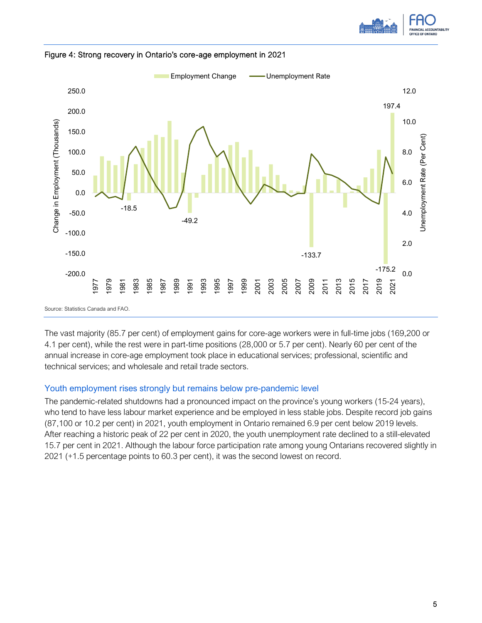



#### Figure 4: Strong recovery in Ontario's core-age employment in 2021

The vast majority (85.7 per cent) of employment gains for core-age workers were in full-time jobs (169,200 or 4.1 per cent), while the rest were in part-time positions (28,000 or 5.7 per cent). Nearly 60 per cent of the annual increase in core-age employment took place in educational services; professional, scientific and technical services; and wholesale and retail trade sectors.

#### <span id="page-5-0"></span>Youth employment rises strongly but remains below pre-pandemic level

The pandemic-related shutdowns had a pronounced impact on the province's young workers (15-24 years), who tend to have less labour market experience and be employed in less stable jobs. Despite record job gains (87,100 or 10.2 per cent) in 2021, youth employment in Ontario remained 6.9 per cent below 2019 levels. After reaching a historic peak of 22 per cent in 2020, the youth unemployment rate declined to a still-elevated 15.7 per cent in 2021. Although the labour force participation rate among young Ontarians recovered slightly in 2021 (+1.5 percentage points to 60.3 per cent), it was the second lowest on record.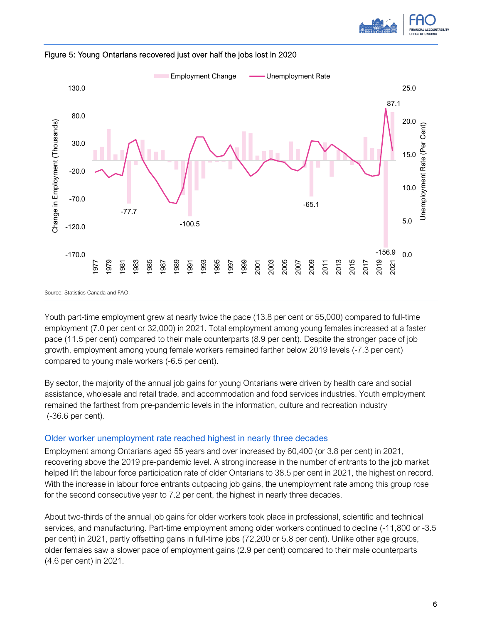





Youth part-time employment grew at nearly twice the pace (13.8 per cent or 55,000) compared to full-time employment (7.0 per cent or 32,000) in 2021. Total employment among young females increased at a faster pace (11.5 per cent) compared to their male counterparts (8.9 per cent). Despite the stronger pace of job growth, employment among young female workers remained farther below 2019 levels (-7.3 per cent) compared to young male workers (-6.5 per cent).

By sector, the majority of the annual job gains for young Ontarians were driven by health care and social assistance, wholesale and retail trade, and accommodation and food services industries. Youth employment remained the farthest from pre-pandemic levels in the information, culture and recreation industry (-36.6 per cent).

#### Older worker unemployment rate reached highest in nearly three decades

Employment among Ontarians aged 55 years and over increased by 60,400 (or 3.8 per cent) in 2021, recovering above the 2019 pre-pandemic level. A strong increase in the number of entrants to the job market helped lift the labour force participation rate of older Ontarians to 38.5 per cent in 2021, the highest on record. With the increase in labour force entrants outpacing job gains, the unemployment rate among this group rose for the second consecutive year to 7.2 per cent, the highest in nearly three decades.

About two-thirds of the annual job gains for older workers took place in professional, scientific and technical services, and manufacturing. Part-time employment among older workers continued to decline (-11,800 or -3.5 per cent) in 2021, partly offsetting gains in full-time jobs (72,200 or 5.8 per cent). Unlike other age groups, older females saw a slower pace of employment gains (2.9 per cent) compared to their male counterparts (4.6 per cent) in 2021.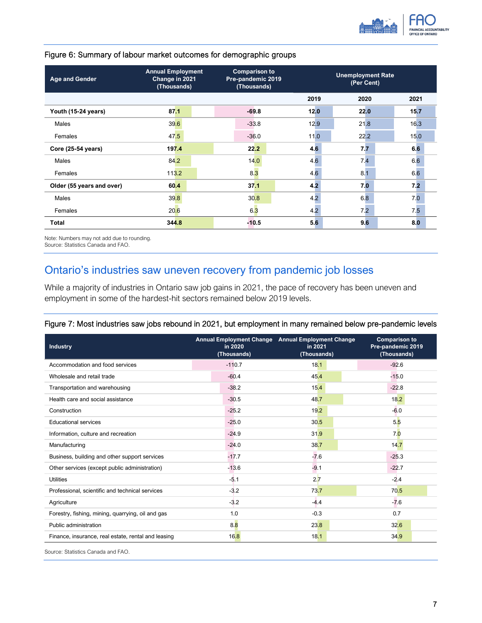

| <b>Age and Gender</b>     | <b>Annual Employment</b><br>Change in 2021<br>(Thousands) | <b>Comparison to</b><br>Pre-pandemic 2019<br>(Thousands) | <b>Unemployment Rate</b><br>(Per Cent) |      |      |
|---------------------------|-----------------------------------------------------------|----------------------------------------------------------|----------------------------------------|------|------|
|                           |                                                           |                                                          | 2019                                   | 2020 | 2021 |
| Youth (15-24 years)       | 87.1                                                      | $-69.8$                                                  | 12.0                                   | 22.0 | 15.7 |
| Males                     | 39.6                                                      | $-33.8$                                                  | 12.9                                   | 21.8 | 16.3 |
| Females                   | 47.5                                                      | $-36.0$                                                  | 11.0                                   | 22.2 | 15.0 |
| Core (25-54 years)        | 197.4                                                     | 22.2                                                     | 4.6                                    | 7.7  | 6.6  |
| Males                     | 84.2                                                      | 14.0                                                     | 4.6                                    | 7.4  | 6.6  |
| Females                   | 113.2                                                     | 8.3                                                      | 4.6                                    | 8.1  | 6.6  |
| Older (55 years and over) | 60.4                                                      | 37.1                                                     | 4.2                                    | 7.0  | 7.2  |
| Males                     | 39.8                                                      | 30.8                                                     | 4.2                                    | 6.8  | 7.0  |
| Females                   | 20.6                                                      | 6.3                                                      | 4.2                                    | 7.2  | 7.5  |
| <b>Total</b>              | 344.8                                                     | $-10.5$                                                  | 56                                     | 9.6  | 8.0  |

#### Figure 6: Summary of labour market outcomes for demographic groups

Note: Numbers may not add due to rounding.

Source: Statistics Canada and FAO.

# Ontario's industries saw uneven recovery from pandemic job losses

While a majority of industries in Ontario saw job gains in 2021, the pace of recovery has been uneven and employment in some of the hardest-hit sectors remained below 2019 levels.

#### Figure 7: Most industries saw jobs rebound in 2021, but employment in many remained below pre-pandemic levels

| <b>Industry</b>                                     | in 2020<br>(Thousands) | Annual Employment Change Annual Employment Change<br>in 2021<br>(Thousands) | <b>Comparison to</b><br>Pre-pandemic 2019<br>(Thousands) |  |
|-----------------------------------------------------|------------------------|-----------------------------------------------------------------------------|----------------------------------------------------------|--|
| Accommodation and food services                     | $-110.7$               | 18.1                                                                        | $-92.6$                                                  |  |
| Wholesale and retail trade                          | $-60.4$                | 45.4                                                                        | $-15.0$                                                  |  |
| Transportation and warehousing                      | $-38.2$                | 15.4                                                                        | $-22.8$                                                  |  |
| Health care and social assistance                   | $-30.5$                | 48.7                                                                        | 18.2                                                     |  |
| Construction                                        | $-25.2$                | 19.2                                                                        | $-6.0$                                                   |  |
| <b>Educational services</b>                         | $-25.0$                | 30.5                                                                        | 5.5                                                      |  |
| Information, culture and recreation                 | $-24.9$                | 31.9                                                                        | 7.0                                                      |  |
| Manufacturing                                       | $-24.0$                | 38.7                                                                        | 14.7                                                     |  |
| Business, building and other support services       | $-17.7$                | $-7.6$                                                                      | $-25.3$                                                  |  |
| Other services (except public administration)       | $-13.6$                | $-9.1$                                                                      | $-22.7$                                                  |  |
| <b>Utilities</b>                                    | $-5.1$                 | 2.7                                                                         | $-2.4$                                                   |  |
| Professional, scientific and technical services     | $-3.2$                 | 73.7                                                                        | 70.5                                                     |  |
| Agriculture                                         | $-3.2$                 | $-4.4$                                                                      | $-7.6$                                                   |  |
| Forestry, fishing, mining, guarrying, oil and gas   | 1.0                    | $-0.3$                                                                      | 0.7                                                      |  |
| Public administration                               | 8.8                    | 23.8                                                                        | 32.6                                                     |  |
| Finance, insurance, real estate, rental and leasing | 16.8                   | 18.1                                                                        | 34.9                                                     |  |
|                                                     |                        |                                                                             |                                                          |  |

Source: Statistics Canada and FAO.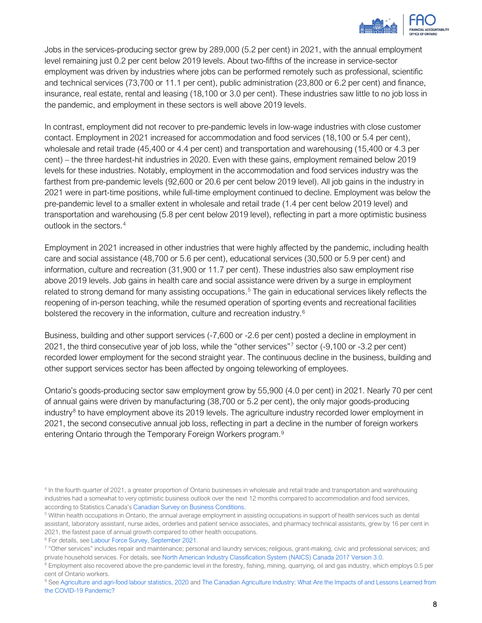

Jobs in the services-producing sector grew by 289,000 (5.2 per cent) in 2021, with the annual employment level remaining just 0.2 per cent below 2019 levels. About two-fifths of the increase in service-sector employment was driven by industries where jobs can be performed remotely such as professional, scientific and technical services (73,700 or 11.1 per cent), public administration (23,800 or 6.2 per cent) and finance, insurance, real estate, rental and leasing (18,100 or 3.0 per cent). These industries saw little to no job loss in the pandemic, and employment in these sectors is well above 2019 levels.

In contrast, employment did not recover to pre-pandemic levels in low-wage industries with close customer contact. Employment in 2021 increased for accommodation and food services (18,100 or 5.4 per cent), wholesale and retail trade (45,400 or 4.4 per cent) and transportation and warehousing (15,400 or 4.3 per cent) – the three hardest-hit industries in 2020. Even with these gains, employment remained below 2019 levels for these industries. Notably, employment in the accommodation and food services industry was the farthest from pre-pandemic levels (92,600 or 20.6 per cent below 2019 level). All job gains in the industry in 2021 were in part-time positions, while full-time employment continued to decline. Employment was below the pre-pandemic level to a smaller extent in wholesale and retail trade (1.4 per cent below 2019 level) and transportation and warehousing (5.8 per cent below 2019 level), reflecting in part a more optimistic business outlook in the sectors.[4](#page-8-0)

Employment in 2021 increased in other industries that were highly affected by the pandemic, including health care and social assistance (48,700 or 5.6 per cent), educational services (30,500 or 5.9 per cent) and information, culture and recreation (31,900 or 11.7 per cent). These industries also saw employment rise above 2019 levels. Job gains in health care and social assistance were driven by a surge in employment related to strong demand for many assisting occupations.<sup>[5](#page-8-1)</sup> The gain in educational services likely reflects the reopening of in-person teaching, while the resumed operation of sporting events and recreational facilities bolstered the recovery in the information, culture and recreation industry.<sup>[6](#page-8-2)</sup>

Business, building and other support services (-7,600 or -2.6 per cent) posted a decline in employment in 2021, the third consecutive year of job loss, while the "other services["7](#page-8-3) sector (-9,100 or -3.2 per cent) recorded lower employment for the second straight year. The continuous decline in the business, building and other support services sector has been affected by ongoing teleworking of employees.

Ontario's goods-producing sector saw employment grow by 55,900 (4.0 per cent) in 2021. Nearly 70 per cent of annual gains were driven by manufacturing (38,700 or 5.2 per cent), the only major goods-producing industry $8$  to have employment above its 2019 levels. The agriculture industry recorded lower employment in 2021, the second consecutive annual job loss, reflecting in part a decline in the number of foreign workers entering Ontario through the Temporary Foreign Workers program.<sup>[9](#page-8-5)</sup>

<span id="page-8-2"></span><sup>6</sup> For details, se[e Labour Force Survey, September 2021.](https://www150.statcan.gc.ca/n1/daily-quotidien/211008/dq211008a-eng.htm)

<span id="page-8-5"></span>[the COVID-19 Pandemic?](https://hillnotes.ca/2021/12/03/the-canadian-agriculture-industry-what-are-the-impacts-of-and-lessons-learned-from-the-covid-19-pandemic/)

<span id="page-8-0"></span><sup>&</sup>lt;sup>4</sup> In the fourth quarter of 2021, a greater proportion of Ontario businesses in wholesale and retail trade and transportation and warehousing industries had a somewhat to very optimistic business outlook over the next 12 months compared to accommodation and food services, according to Statistics Canada's [Canadian Survey on Business Conditions.](https://www150.statcan.gc.ca/t1/tbl1/en/tv.action?pid=3310042601)

<span id="page-8-1"></span><sup>5</sup> Within health occupations in Ontario, the annual average employment in assisting occupations in support of health services such as dental assistant, laboratory assistant, nurse aides, orderlies and patient service associates, and pharmacy technical assistants, grew by 16 per cent in 2021, the fastest pace of annual growth compared to other health occupations.

<span id="page-8-3"></span><sup>&</sup>lt;sup>7</sup> "Other services" includes repair and maintenance; personal and laundry services; religious, grant-making, civic and professional services; and private household services. For details, se[e North American Industry Classification System \(NAICS\) Canada 2017 Version 3.0.](https://www23.statcan.gc.ca/imdb/p3VD.pl?Function=getVD&TVD=1181553)

<span id="page-8-4"></span><sup>&</sup>lt;sup>8</sup> Employment also recovered above the pre-pandemic level in the forestry, fishing, mining, quarrying, oil and gas industry, which employs 0.5 per cent of Ontario workers.<br><sup>9</sup> See [Agriculture and agri-food labour statistics, 2020](https://www150.statcan.gc.ca/n1/daily-quotidien/210517/dq210517b-eng.htm) and The Canadian Agriculture Industry: What Are the Impacts of and Lessons Learned from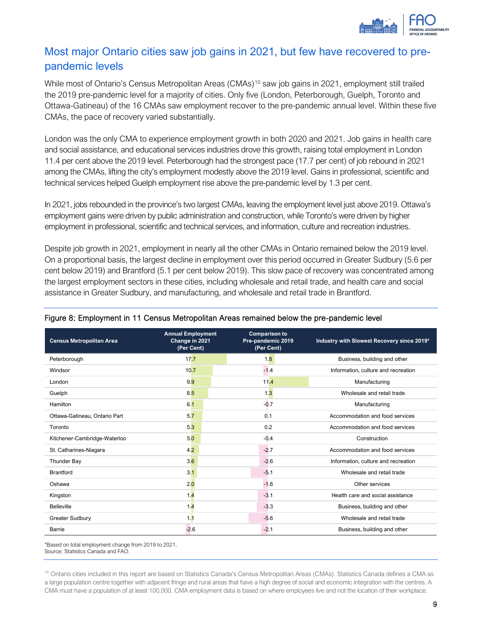

# Most major Ontario cities saw job gains in 2021, but few have recovered to prepandemic levels

While most of Ontario's Census Metropolitan Areas (CMAs)<sup>[10](#page-9-0)</sup> saw job gains in 2021, employment still trailed the 2019 pre-pandemic level for a majority of cities. Only five (London, Peterborough, Guelph, Toronto and Ottawa-Gatineau) of the 16 CMAs saw employment recover to the pre-pandemic annual level. Within these five CMAs, the pace of recovery varied substantially.

London was the only CMA to experience employment growth in both 2020 and 2021. Job gains in health care and social assistance, and educational services industries drove this growth, raising total employment in London 11.4 per cent above the 2019 level. Peterborough had the strongest pace (17.7 per cent) of job rebound in 2021 among the CMAs, lifting the city's employment modestly above the 2019 level. Gains in professional, scientific and technical services helped Guelph employment rise above the pre-pandemic level by 1.3 per cent.

In 2021, jobs rebounded in the province's two largest CMAs, leaving the employment level just above 2019. Ottawa's employment gains were driven by public administration and construction, while Toronto's were driven by higher employment in professional, scientific and technical services, and information, culture and recreation industries.

Despite job growth in 2021, employment in nearly all the other CMAs in Ontario remained below the 2019 level. On a proportional basis, the largest decline in employment over this period occurred in Greater Sudbury (5.6 per cent below 2019) and Brantford (5.1 per cent below 2019). This slow pace of recovery was concentrated among the largest employment sectors in these cities, including wholesale and retail trade, and health care and social assistance in Greater Sudbury, and manufacturing, and wholesale and retail trade in Brantford.

| <b>Census Metropolitan Area</b> | <b>Annual Employment</b><br>Change in 2021<br>(Per Cent) | <b>Comparison to</b><br>Pre-pandemic 2019<br>(Per Cent) | Industry with Slowest Recovery since 2019* |
|---------------------------------|----------------------------------------------------------|---------------------------------------------------------|--------------------------------------------|
| Peterborough                    | 17.7                                                     | 1.8                                                     | Business, building and other               |
| Windsor                         | 10.7                                                     | $-1.4$                                                  | Information, culture and recreation        |
| London                          | 9.9                                                      | 11.4                                                    | Manufacturing                              |
| Guelph                          | 8.5                                                      | 1 <sub>3</sub>                                          | Wholesale and retail trade                 |
| Hamilton                        | 6.1                                                      | $-0.7$                                                  | Manufacturing                              |
| Ottawa-Gatineau, Ontario Part   | 5.7                                                      | 0.1                                                     | Accommodation and food services            |
| Toronto                         | 5.3                                                      | 0.2                                                     | Accommodation and food services            |
| Kitchener-Cambridge-Waterloo    | 5.0                                                      | $-0.4$                                                  | Construction                               |
| St. Catharines-Niagara          | 4.2                                                      | $-2.7$                                                  | Accommodation and food services            |
| Thunder Bay                     | 3.6                                                      | $-2.6$                                                  | Information, culture and recreation        |
| <b>Brantford</b>                | 3.1                                                      | $-5.1$                                                  | Wholesale and retail trade                 |
| Oshawa                          | 2.0                                                      | $-1.6$                                                  | Other services                             |
| Kingston                        | 1.4                                                      | $-3.1$                                                  | Health care and social assistance          |
| <b>Belleville</b>               | 1.4                                                      | $-3.3$                                                  | Business, building and other               |
| <b>Greater Sudbury</b>          | 1.1                                                      | $-5.6$                                                  | Wholesale and retail trade                 |
| <b>Barrie</b>                   | $-2.6$                                                   | $-2.1$                                                  | Business, building and other               |

#### Figure 8: Employment in 11 Census Metropolitan Areas remained below the pre-pandemic level

\*Based on total employment change from 2019 to 2021. Source: Statistics Canada and FAO.

<span id="page-9-0"></span><sup>10</sup> Ontario cities included in this report are based on Statistics Canada's Census Metropolitan Areas (CMAs). Statistics Canada defines a CMA as a large population centre together with adjacent fringe and rural areas that have a high degree of social and economic integration with the centres. A CMA must have a population of at least 100,000. CMA employment data is based on where employees live and not the location of their workplace.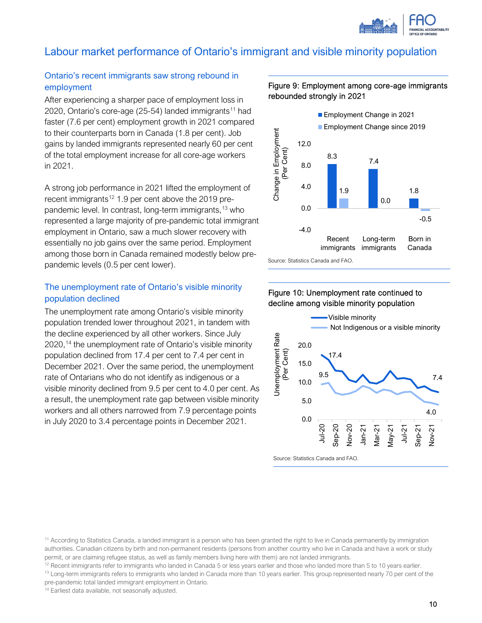

# Labour market performance of Ontario's immigrant and visible minority population

#### Ontario's recent immigrants saw strong rebound in employment

After experiencing a sharper pace of employment loss in 2020, Ontario's core-age  $(25-54)$  landed immigrants<sup>[11](#page-10-0)</sup> had faster (7.6 per cent) employment growth in 2021 compared to their counterparts born in Canada (1.8 per cent). Job gains by landed immigrants represented nearly 60 per cent of the total employment increase for all core-age workers in 2021.

A strong job performance in 2021 lifted the employment of recent immigrants<sup>[12](#page-10-1)</sup> 1.9 per cent above the 2019 prepandemic level. In contrast, long-term immigrants, [13](#page-10-2) who represented a large majority of pre-pandemic total immigrant employment in Ontario, saw a much slower recovery with essentially no job gains over the same period. Employment among those born in Canada remained modestly below prepandemic levels (0.5 per cent lower).

#### The unemployment rate of Ontario's visible minority population declined

The unemployment rate among Ontario's visible minority population trended lower throughout 2021, in tandem with the decline experienced by all other workers. Since July 2020, [14](#page-10-3) the unemployment rate of Ontario's visible minority population declined from 17.4 per cent to 7.4 per cent in December 2021. Over the same period, the unemployment rate of Ontarians who do not identify as indigenous or a visible minority declined from 9.5 per cent to 4.0 per cent. As a result, the unemployment rate gap between visible minority workers and all others narrowed from 7.9 percentage points in July 2020 to 3.4 percentage points in December 2021.

#### Figure 9: Employment among core-age immigrants rebounded strongly in 2021



Figure 10: Unemployment rate continued to decline among visible minority population



<span id="page-10-2"></span><span id="page-10-1"></span><sup>13</sup> Long-term immigrants refers to immigrants who landed in Canada more than 10 years earlier. This group represented nearly 70 per cent of the

<span id="page-10-3"></span>pre-pandemic total landed immigrant employment in Ontario.

<sup>14</sup> Earliest data available, not seasonally adjusted.

<span id="page-10-0"></span><sup>&</sup>lt;sup>11</sup> According to Statistics Canada, a landed immigrant is a person who has been granted the right to live in Canada permanently by immigration authorities. Canadian citizens by birth and non-permanent residents (persons from another country who live in Canada and have a work or study permit, or are claiming refugee status, as well as family members living here with them) are not landed immigrants.<br><sup>12</sup> Recent immigrants refer to immigrants who landed in Canada 5 or less years earlier and those who land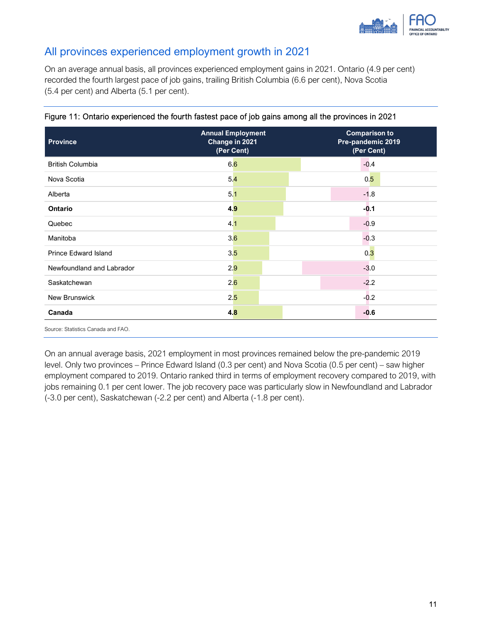

# All provinces experienced employment growth in 2021

On an average annual basis, all provinces experienced employment gains in 2021. Ontario (4.9 per cent) recorded the fourth largest pace of job gains, trailing British Columbia (6.6 per cent), Nova Scotia (5.4 per cent) and Alberta (5.1 per cent).

| <b>Province</b>                    | <b>Annual Employment</b><br>Change in 2021<br>(Per Cent) | <b>Comparison to</b><br>Pre-pandemic 2019<br>(Per Cent) |
|------------------------------------|----------------------------------------------------------|---------------------------------------------------------|
| <b>British Columbia</b>            | 6.6                                                      | $-0.4$                                                  |
| Nova Scotia                        | 5.4                                                      | 0.5                                                     |
| Alberta                            | 5.1                                                      | $-1.8$                                                  |
| <b>Ontario</b>                     | 4.9                                                      | $-0.1$                                                  |
| Quebec                             | 4.1                                                      | $-0.9$                                                  |
| Manitoba                           | 3.6                                                      | $-0.3$                                                  |
| <b>Prince Edward Island</b>        | 3.5                                                      | 0.3                                                     |
| Newfoundland and Labrador          | 2.9                                                      | $-3.0$                                                  |
| Saskatchewan                       | 2.6                                                      | $-2.2$                                                  |
| <b>New Brunswick</b>               | 2.5                                                      | $-0.2$                                                  |
| Canada                             | 4.8                                                      | $-0.6$                                                  |
| Source: Statistics Canada and FAO. |                                                          |                                                         |

#### Figure 11: Ontario experienced the fourth fastest pace of job gains among all the provinces in 2021

On an annual average basis, 2021 employment in most provinces remained below the pre-pandemic 2019 level. Only two provinces – Prince Edward Island (0.3 per cent) and Nova Scotia (0.5 per cent) – saw higher employment compared to 2019. Ontario ranked third in terms of employment recovery compared to 2019, with jobs remaining 0.1 per cent lower. The job recovery pace was particularly slow in Newfoundland and Labrador (-3.0 per cent), Saskatchewan (-2.2 per cent) and Alberta (-1.8 per cent).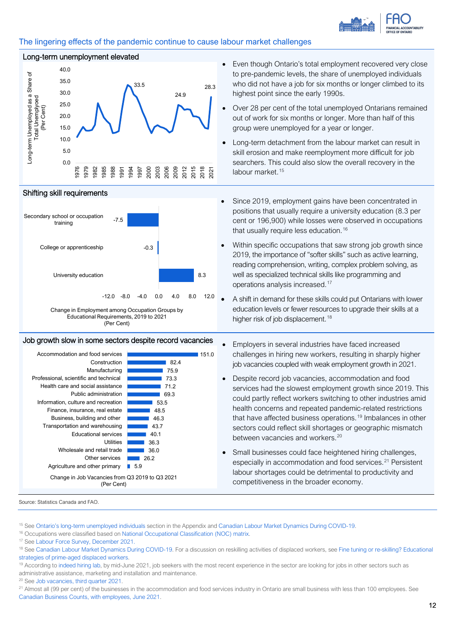

#### The lingering effects of the pandemic continue to cause labour market challenges



#### Shifting skill requirements





### Job growth slow in some sectors despite record vacancies <br>
Employers in several industries have faced increased

| Accommodation and food services                               | 151.0 |  |  |
|---------------------------------------------------------------|-------|--|--|
| Construction                                                  | 82.4  |  |  |
| Manufacturing                                                 | 75.9  |  |  |
| Professional, scientific and technical                        | 73.3  |  |  |
| Health care and social assistance                             | 71.2  |  |  |
| Public administration                                         | 69.3  |  |  |
| Information, culture and recreation                           | 53.5  |  |  |
| Finance, insurance, real estate                               | 48.5  |  |  |
| Business, building and other                                  | 46.3  |  |  |
| Transportation and warehousing                                | 43.7  |  |  |
| <b>Educational services</b>                                   | 40.1  |  |  |
| Utilities                                                     | 36.3  |  |  |
| Wholesale and retail trade                                    | 36.0  |  |  |
| Other services                                                | 26.2  |  |  |
| Agriculture and other primary                                 | 5.9   |  |  |
| Change in Job Vacancies from Q3 2019 to Q3 2021<br>(Per Cent) |       |  |  |

- Long-term unemployment elevated<br>
 Even though Ontario's total employment recovered very close to pre-pandemic levels, the share of unemployed individuals who did not have a job for six months or longer climbed to its highest point since the early 1990s.
	- Over 28 per cent of the total unemployed Ontarians remained out of work for six months or longer. More than half of this group were unemployed for a year or longer.
	- Long-term detachment from the labour market can result in skill erosion and make reemployment more difficult for job searchers. This could also slow the overall recovery in the labour market.<sup>[15](#page-12-0)</sup>
	- Since 2019, employment gains have been concentrated in positions that usually require a university education (8.3 per cent or 196,900) while losses were observed in occupations that usually require less education.<sup>[16](#page-12-1)</sup>
	- Within specific occupations that saw strong job growth since 2019, the importance of "softer skills" such as active learning, reading comprehension, writing, complex problem solving, as well as specialized technical skills like programming and operations analysis increased.[17](#page-12-2)
	- A shift in demand for these skills could put Ontarians with lower education levels or fewer resources to upgrade their skills at a higher risk of job displacement.<sup>[18](#page-12-3)</sup>
	- challenges in hiring new workers, resulting in sharply higher job vacancies coupled with weak employment growth in 2021.
	- Despite record job vacancies, accommodation and food services had the slowest employment growth since 2019. This could partly reflect workers switching to other industries amid health concerns and repeated pandemic-related restrictions that have affected business operations. [19](#page-12-4) Imbalances in other sectors could reflect skill shortages or geographic mismatch between vacancies and workers.<sup>[20](#page-12-5)</sup>
	- Small businesses could face heightened hiring challenges, especially in accommodation and food services. [21](#page-12-6) Persistent labour shortages could be detrimental to productivity and competitiveness in the broader economy.

- <span id="page-12-0"></span><sup>15</sup> See Ontario's long-term unemployed individuals section in the Appendix and [Canadian Labour Market Dynamics During COVID-19.](https://clef.uwaterloo.ca/wp-content/uploads/2021/07/CLEF-037-Jones-_et_al.pdf) <sup>16</sup> Occupations were classified based on [National Occupational Classification \(NOC\) matrix.](https://noc.esdc.gc.ca/Structure/Matrix)
- 
- <span id="page-12-2"></span><span id="page-12-1"></span><sup>17</sup> Se[e Labour Force Survey, December 2021.](https://www150.statcan.gc.ca/n1/daily-quotidien/220107/dq220107a-eng.htm?HPA=1)

- <span id="page-12-4"></span>administrative assistance, marketing and installation and maintenance.<br><sup>20</sup> See Job vacancies, third quarter 2021.
- <span id="page-12-5"></span>

<span id="page-12-6"></span><sup>21</sup> Almost all (99 per cent) of the businesses in the accommodation and food services industry in Ontario are small business with less than 100 employees. See [Canadian Business Counts, with employees, June 2021.](https://www150.statcan.gc.ca/t1/tbl1/en/tv.action?pid=3310039501)

Source: Statistics Canada and FAO.

<span id="page-12-3"></span><sup>18</sup> See [Canadian Labour Market Dynamics During COVID-19.](https://clef.uwaterloo.ca/wp-content/uploads/2021/07/CLEF-037-Jones-_et_al.pdf) For a discussion on reskilling activities of displaced workers, see Fine tuning or re-skilling? Educational [strategies of prime-aged displaced workers.](https://www150.statcan.gc.ca/n1/en/pub/36-28-0001/2022001/article/00005-eng.pdf?st=lVTlN53L)<br><sup>19</sup> According t[o indeed hiring lab,](https://www.hiringlab.org/en-ca/2021/06/28/food-services-job-postings-soar/) by mid-June 2021, job seekers with the most recent experience in the sector are looking for jobs in other sectors such as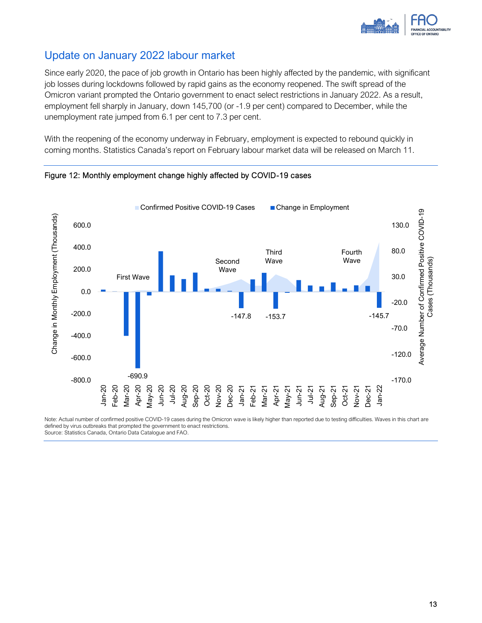

# Update on January 2022 labour market

Since early 2020, the pace of job growth in Ontario has been highly affected by the pandemic, with significant job losses during lockdowns followed by rapid gains as the economy reopened. The swift spread of the Omicron variant prompted the Ontario government to enact select restrictions in January 2022. As a result, employment fell sharply in January, down 145,700 (or -1.9 per cent) compared to December, while the unemployment rate jumped from 6.1 per cent to 7.3 per cent.

With the reopening of the economy underway in February, employment is expected to rebound quickly in coming months. Statistics Canada's report on February labour market data will be released on March 11.





Note: Actual number of confirmed positive COVID-19 cases during the Omicron wave is likely higher than reported due to testing difficulties. Waves in this chart are defined by virus outbreaks that prompted the government to enact restrictions. Source: Statistics Canada, Ontario Data Catalogue and FAO.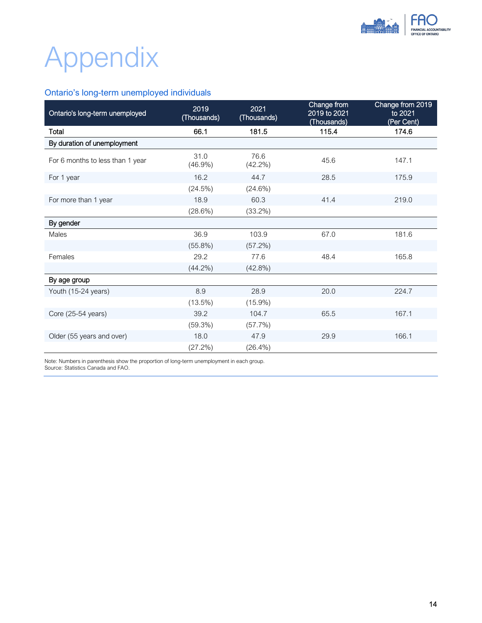

# Appendix

### Ontario's long-term unemployed individuals

<span id="page-14-0"></span>

| Ontario's long-term unemployed   | 2019<br>(Thousands) | 2021<br>(Thousands) | Change from<br>2019 to 2021<br>(Thousands) | Change from 2019<br>to 2021<br>(Per Cent) |
|----------------------------------|---------------------|---------------------|--------------------------------------------|-------------------------------------------|
| Total                            | 66.1                | 181.5               | 115.4                                      | 174.6                                     |
| By duration of unemployment      |                     |                     |                                            |                                           |
| For 6 months to less than 1 year | 31.0<br>$(46.9\%)$  | 76.6<br>$(42.2\%)$  | 45.6                                       | 147.1                                     |
| For 1 year                       | 16.2                | 44.7                | 28.5                                       | 175.9                                     |
|                                  | (24.5%)             | (24.6%)             |                                            |                                           |
| For more than 1 year             | 18.9                | 60.3                | 41.4                                       | 219.0                                     |
|                                  | (28.6%)             | $(33.2\%)$          |                                            |                                           |
| By gender                        |                     |                     |                                            |                                           |
| Males                            | 36.9                | 103.9               | 67.0                                       | 181.6                                     |
|                                  | $(55.8\%)$          | (57.2%)             |                                            |                                           |
| Females                          | 29.2                | 77.6                | 48.4                                       | 165.8                                     |
|                                  | $(44.2\%)$          | $(42.8\%)$          |                                            |                                           |
| By age group                     |                     |                     |                                            |                                           |
| Youth (15-24 years)              | 8.9                 | 28.9                | 20.0                                       | 224.7                                     |
|                                  | $(13.5\%)$          | $(15.9\%)$          |                                            |                                           |
| Core (25-54 years)               | 39.2                | 104.7               | 65.5                                       | 167.1                                     |
|                                  | (59.3%)             | (57.7%)             |                                            |                                           |
| Older (55 years and over)        | 18.0                | 47.9                | 29.9                                       | 166.1                                     |
|                                  | (27.2%)             | $(26.4\%)$          |                                            |                                           |

Note: Numbers in parenthesis show the proportion of long-term unemployment in each group. Source: Statistics Canada and FAO.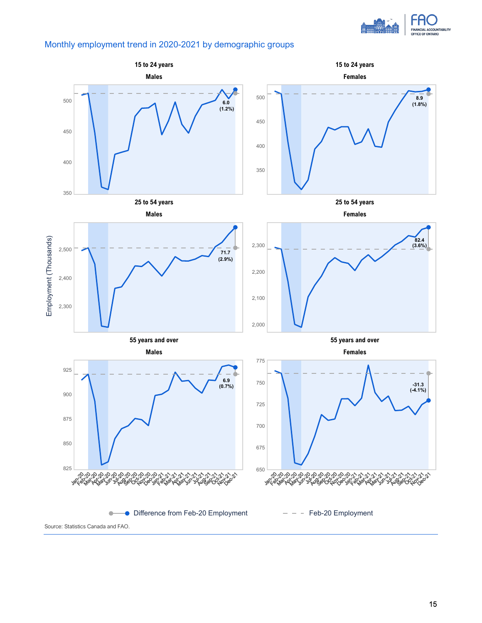

#### Monthly employment trend in 2020-2021 by demographic groups

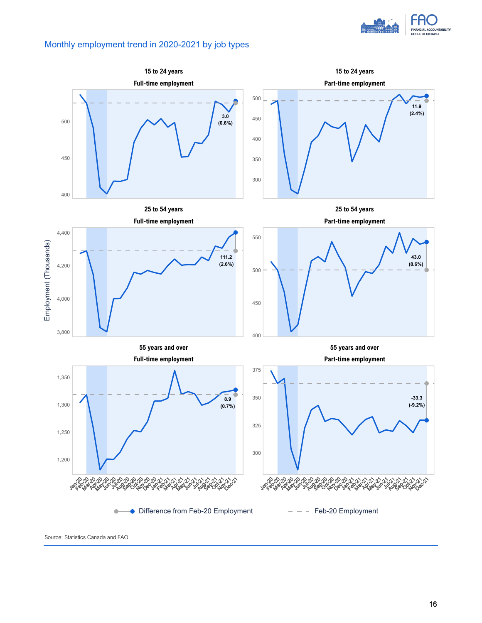

#### Monthly employment trend in 2020-2021 by job types



Source: Statistics Canada and FAO.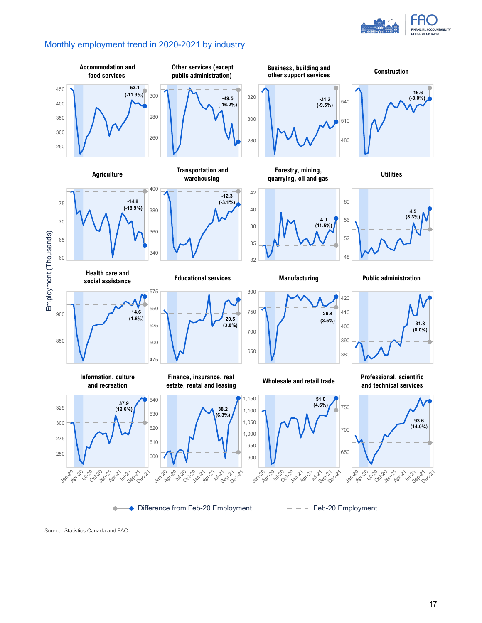

#### Monthly employment trend in 2020-2021 by industry



Source: Statistics Canada and FAO.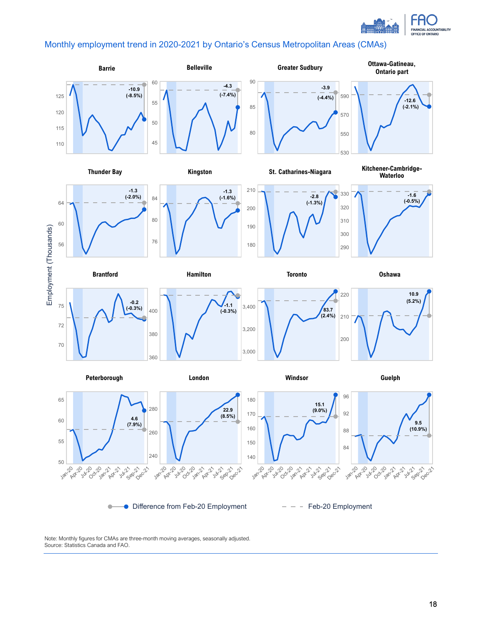

### Monthly employment trend in 2020-2021 by Ontario's Census Metropolitan Areas (CMAs)



Note: Monthly figures for CMAs are three-month moving averages, seasonally adjusted. Source: Statistics Canada and FAO.